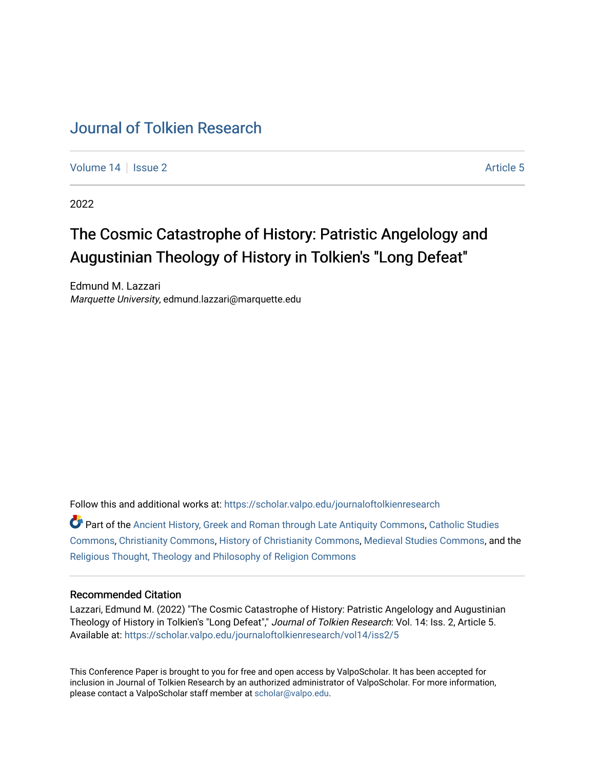# [Journal of Tolkien Research](https://scholar.valpo.edu/journaloftolkienresearch)

[Volume 14](https://scholar.valpo.edu/journaloftolkienresearch/vol14) Suitsue 2 Article 5

2022

# The Cosmic Catastrophe of History: Patristic Angelology and Augustinian Theology of History in Tolkien's "Long Defeat"

Edmund M. Lazzari Marquette University, edmund.lazzari@marquette.edu

Follow this and additional works at: [https://scholar.valpo.edu/journaloftolkienresearch](https://scholar.valpo.edu/journaloftolkienresearch?utm_source=scholar.valpo.edu%2Fjournaloftolkienresearch%2Fvol14%2Fiss2%2F5&utm_medium=PDF&utm_campaign=PDFCoverPages) 

Part of the [Ancient History, Greek and Roman through Late Antiquity Commons](https://network.bepress.com/hgg/discipline/447?utm_source=scholar.valpo.edu%2Fjournaloftolkienresearch%2Fvol14%2Fiss2%2F5&utm_medium=PDF&utm_campaign=PDFCoverPages), [Catholic Studies](https://network.bepress.com/hgg/discipline/1294?utm_source=scholar.valpo.edu%2Fjournaloftolkienresearch%2Fvol14%2Fiss2%2F5&utm_medium=PDF&utm_campaign=PDFCoverPages)  [Commons](https://network.bepress.com/hgg/discipline/1294?utm_source=scholar.valpo.edu%2Fjournaloftolkienresearch%2Fvol14%2Fiss2%2F5&utm_medium=PDF&utm_campaign=PDFCoverPages), [Christianity Commons](https://network.bepress.com/hgg/discipline/1181?utm_source=scholar.valpo.edu%2Fjournaloftolkienresearch%2Fvol14%2Fiss2%2F5&utm_medium=PDF&utm_campaign=PDFCoverPages), [History of Christianity Commons](https://network.bepress.com/hgg/discipline/1182?utm_source=scholar.valpo.edu%2Fjournaloftolkienresearch%2Fvol14%2Fiss2%2F5&utm_medium=PDF&utm_campaign=PDFCoverPages), [Medieval Studies Commons,](https://network.bepress.com/hgg/discipline/480?utm_source=scholar.valpo.edu%2Fjournaloftolkienresearch%2Fvol14%2Fiss2%2F5&utm_medium=PDF&utm_campaign=PDFCoverPages) and the [Religious Thought, Theology and Philosophy of Religion Commons](https://network.bepress.com/hgg/discipline/544?utm_source=scholar.valpo.edu%2Fjournaloftolkienresearch%2Fvol14%2Fiss2%2F5&utm_medium=PDF&utm_campaign=PDFCoverPages) 

#### Recommended Citation

Lazzari, Edmund M. (2022) "The Cosmic Catastrophe of History: Patristic Angelology and Augustinian Theology of History in Tolkien's "Long Defeat"," Journal of Tolkien Research: Vol. 14: Iss. 2, Article 5. Available at: [https://scholar.valpo.edu/journaloftolkienresearch/vol14/iss2/5](https://scholar.valpo.edu/journaloftolkienresearch/vol14/iss2/5?utm_source=scholar.valpo.edu%2Fjournaloftolkienresearch%2Fvol14%2Fiss2%2F5&utm_medium=PDF&utm_campaign=PDFCoverPages) 

This Conference Paper is brought to you for free and open access by ValpoScholar. It has been accepted for inclusion in Journal of Tolkien Research by an authorized administrator of ValpoScholar. For more information, please contact a ValpoScholar staff member at [scholar@valpo.edu](mailto:scholar@valpo.edu).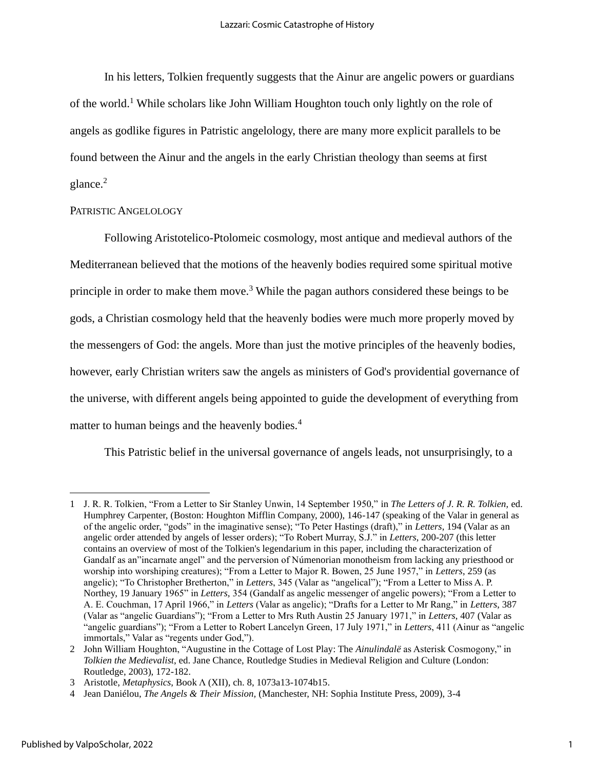In his letters, Tolkien frequently suggests that the Ainur are angelic powers or guardians of the world.<sup>1</sup> While scholars like John William Houghton touch only lightly on the role of angels as godlike figures in Patristic angelology, there are many more explicit parallels to be found between the Ainur and the angels in the early Christian theology than seems at first glance.<sup>2</sup>

#### PATRISTIC ANGELOLOGY

Following Aristotelico-Ptolomeic cosmology, most antique and medieval authors of the Mediterranean believed that the motions of the heavenly bodies required some spiritual motive principle in order to make them move.<sup>3</sup> While the pagan authors considered these beings to be gods, a Christian cosmology held that the heavenly bodies were much more properly moved by the messengers of God: the angels. More than just the motive principles of the heavenly bodies, however, early Christian writers saw the angels as ministers of God's providential governance of the universe, with different angels being appointed to guide the development of everything from matter to human beings and the heavenly bodies.<sup>4</sup>

This Patristic belief in the universal governance of angels leads, not unsurprisingly, to a

<sup>1</sup> J. R. R. Tolkien, "From a Letter to Sir Stanley Unwin, 14 September 1950," in *The Letters of J. R. R. Tolkien,* ed. Humphrey Carpenter, (Boston: Houghton Mifflin Company, 2000), 146-147 (speaking of the Valar in general as of the angelic order, "gods" in the imaginative sense); "To Peter Hastings (draft)," in *Letters*, 194 (Valar as an angelic order attended by angels of lesser orders); "To Robert Murray, S.J." in *Letters*, 200-207 (this letter contains an overview of most of the Tolkien's legendarium in this paper, including the characterization of Gandalf as an"incarnate angel" and the perversion of Númenorian monotheism from lacking any priesthood or worship into worshiping creatures); "From a Letter to Major R. Bowen, 25 June 1957," in *Letters*, 259 (as angelic); "To Christopher Bretherton," in *Letters*, 345 (Valar as "angelical"); "From a Letter to Miss A. P. Northey, 19 January 1965" in *Letters,* 354 (Gandalf as angelic messenger of angelic powers); "From a Letter to A. E. Couchman, 17 April 1966," in *Letters* (Valar as angelic); "Drafts for a Letter to Mr Rang," in *Letters*, 387 (Valar as "angelic Guardians"); "From a Letter to Mrs Ruth Austin 25 January 1971," in *Letters*, 407 (Valar as "angelic guardians"); "From a Letter to Robert Lancelyn Green, 17 July 1971," in *Letters*, 411 (Ainur as "angelic immortals," Valar as "regents under God,").

<sup>2</sup> John William Houghton, "Augustine in the Cottage of Lost Play: The *Ainulindalë* as Asterisk Cosmogony," in *Tolkien the Medievalist*, ed. Jane Chance, Routledge Studies in Medieval Religion and Culture (London: Routledge, 2003), 172-182.

<sup>3</sup> Aristotle, *Metaphysics*, Book Λ (XII), ch. 8, 1073a13-1074b15.

<sup>4</sup> Jean Daniélou, *The Angels & Their Mission,* (Manchester, NH: Sophia Institute Press, 2009), 3-4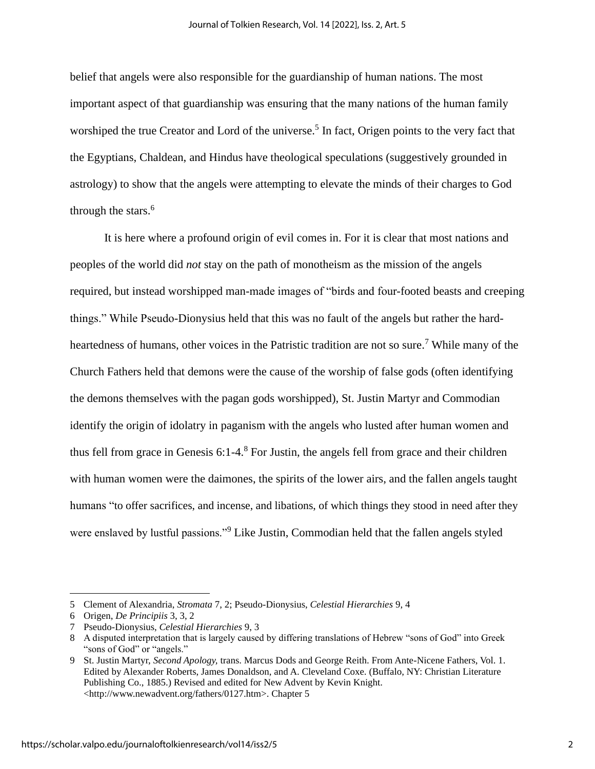belief that angels were also responsible for the guardianship of human nations. The most important aspect of that guardianship was ensuring that the many nations of the human family worshiped the true Creator and Lord of the universe.<sup>5</sup> In fact, Origen points to the very fact that the Egyptians, Chaldean, and Hindus have theological speculations (suggestively grounded in astrology) to show that the angels were attempting to elevate the minds of their charges to God through the stars.<sup>6</sup>

It is here where a profound origin of evil comes in. For it is clear that most nations and peoples of the world did *not* stay on the path of monotheism as the mission of the angels required, but instead worshipped man-made images of "birds and four-footed beasts and creeping things." While Pseudo-Dionysius held that this was no fault of the angels but rather the hardheartedness of humans, other voices in the Patristic tradition are not so sure.<sup>7</sup> While many of the Church Fathers held that demons were the cause of the worship of false gods (often identifying the demons themselves with the pagan gods worshipped), St. Justin Martyr and Commodian identify the origin of idolatry in paganism with the angels who lusted after human women and thus fell from grace in Genesis  $6:1-4<sup>8</sup>$  For Justin, the angels fell from grace and their children with human women were the daimones, the spirits of the lower airs, and the fallen angels taught humans "to offer sacrifices, and incense, and libations, of which things they stood in need after they were enslaved by lustful passions."<sup>9</sup> Like Justin, Commodian held that the fallen angels styled

<sup>5</sup> Clement of Alexandria, *Stromata* 7, 2; Pseudo-Dionysius, *Celestial Hierarchies* 9, 4

<sup>6</sup> Origen, *De Principiis* 3, 3, 2

<sup>7</sup> Pseudo-Dionysius, *Celestial Hierarchies* 9, 3

<sup>8</sup> A disputed interpretation that is largely caused by differing translations of Hebrew "sons of God" into Greek "sons of God" or "angels."

<sup>9</sup> St. Justin Martyr, *Second Apology,* trans. Marcus Dods and George Reith. From Ante-Nicene Fathers, Vol. 1. Edited by Alexander Roberts, James Donaldson, and A. Cleveland Coxe. (Buffalo, NY: Christian Literature Publishing Co., 1885.) Revised and edited for New Advent by Kevin Knight. <http://www.newadvent.org/fathers/0127.htm>. Chapter 5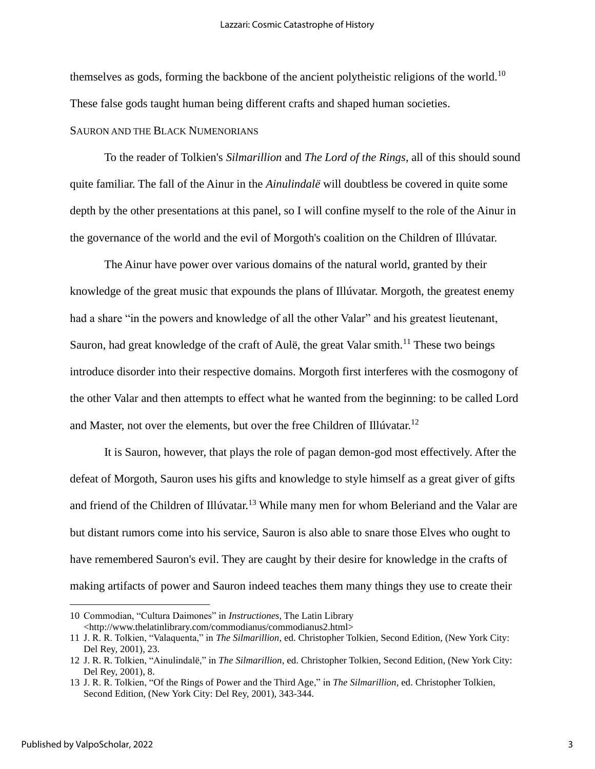themselves as gods, forming the backbone of the ancient polytheistic religions of the world.<sup>10</sup> These false gods taught human being different crafts and shaped human societies.

## SAURON AND THE BLACK NUMENORIANS

To the reader of Tolkien's *Silmarillion* and *The Lord of the Rings*, all of this should sound quite familiar. The fall of the Ainur in the *Ainulindalë* will doubtless be covered in quite some depth by the other presentations at this panel, so I will confine myself to the role of the Ainur in the governance of the world and the evil of Morgoth's coalition on the Children of Illúvatar.

The Ainur have power over various domains of the natural world, granted by their knowledge of the great music that expounds the plans of Illúvatar. Morgoth, the greatest enemy had a share "in the powers and knowledge of all the other Valar" and his greatest lieutenant, Sauron, had great knowledge of the craft of Aulë, the great Valar smith.<sup>11</sup> These two beings introduce disorder into their respective domains. Morgoth first interferes with the cosmogony of the other Valar and then attempts to effect what he wanted from the beginning: to be called Lord and Master, not over the elements, but over the free Children of Illúvatar.<sup>12</sup>

It is Sauron, however, that plays the role of pagan demon-god most effectively. After the defeat of Morgoth, Sauron uses his gifts and knowledge to style himself as a great giver of gifts and friend of the Children of Illúvatar.<sup>13</sup> While many men for whom Beleriand and the Valar are but distant rumors come into his service, Sauron is also able to snare those Elves who ought to have remembered Sauron's evil. They are caught by their desire for knowledge in the crafts of making artifacts of power and Sauron indeed teaches them many things they use to create their

<sup>10</sup> Commodian, "Cultura Daimones" in *Instructiones*, The Latin Library <http://www.thelatinlibrary.com/commodianus/commodianus2.html>

<sup>11</sup> J. R. R. Tolkien, "Valaquenta," in *The Silmarillion*, ed. Christopher Tolkien, Second Edition, (New York City: Del Rey, 2001), 23.

<sup>12</sup> J. R. R. Tolkien, "Ainulindalë," in *The Silmarillion*, ed. Christopher Tolkien, Second Edition, (New York City: Del Rey, 2001), 8.

<sup>13</sup> J. R. R. Tolkien, "Of the Rings of Power and the Third Age," in *The Silmarillion*, ed. Christopher Tolkien, Second Edition, (New York City: Del Rey, 2001), 343-344.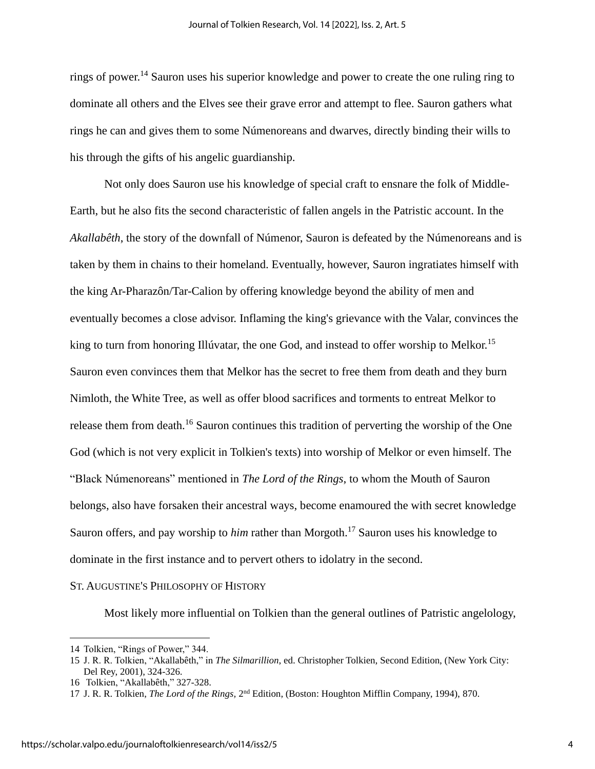rings of power.<sup>14</sup> Sauron uses his superior knowledge and power to create the one ruling ring to dominate all others and the Elves see their grave error and attempt to flee. Sauron gathers what rings he can and gives them to some Númenoreans and dwarves, directly binding their wills to his through the gifts of his angelic guardianship.

Not only does Sauron use his knowledge of special craft to ensnare the folk of Middle-Earth, but he also fits the second characteristic of fallen angels in the Patristic account. In the *Akallabêth*, the story of the downfall of Númenor, Sauron is defeated by the Númenoreans and is taken by them in chains to their homeland. Eventually, however, Sauron ingratiates himself with the king Ar-Pharazôn/Tar-Calion by offering knowledge beyond the ability of men and eventually becomes a close advisor. Inflaming the king's grievance with the Valar, convinces the king to turn from honoring Illúvatar, the one God, and instead to offer worship to Melkor.<sup>15</sup> Sauron even convinces them that Melkor has the secret to free them from death and they burn Nimloth, the White Tree, as well as offer blood sacrifices and torments to entreat Melkor to release them from death.<sup>16</sup> Sauron continues this tradition of perverting the worship of the One God (which is not very explicit in Tolkien's texts) into worship of Melkor or even himself. The "Black Númenoreans" mentioned in *The Lord of the Rings*, to whom the Mouth of Sauron belongs, also have forsaken their ancestral ways, become enamoured the with secret knowledge Sauron offers, and pay worship to *him* rather than Morgoth.<sup>17</sup> Sauron uses his knowledge to dominate in the first instance and to pervert others to idolatry in the second.

### ST. AUGUSTINE'S PHILOSOPHY OF HISTORY

Most likely more influential on Tolkien than the general outlines of Patristic angelology,

<sup>14</sup> Tolkien, "Rings of Power," 344.

<sup>15</sup> J. R. R. Tolkien, "Akallabêth," in *The Silmarillion*, ed. Christopher Tolkien, Second Edition, (New York City: Del Rey, 2001), 324-326.

<sup>16</sup> Tolkien, "Akallabêth," 327-328.

<sup>17</sup> J. R. R. Tolkien, *The Lord of the Rings*, 2<sup>nd</sup> Edition, (Boston: Houghton Mifflin Company, 1994), 870.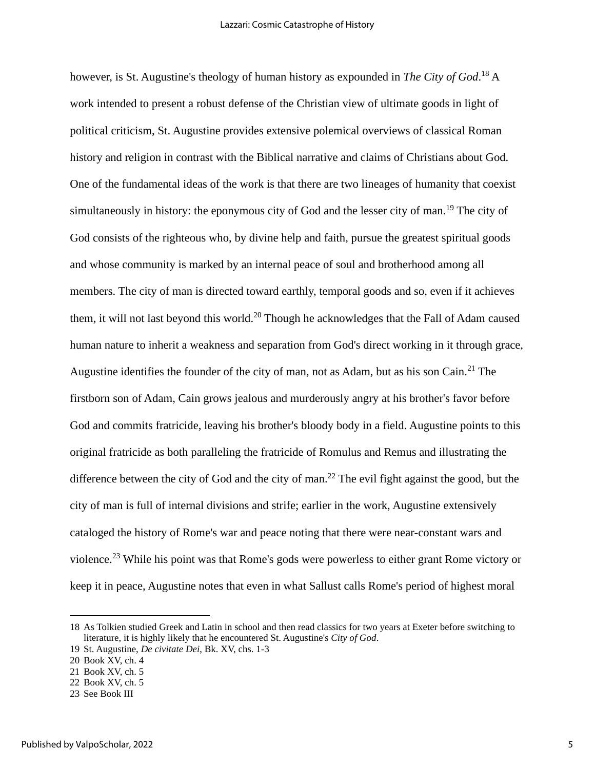however, is St. Augustine's theology of human history as expounded in *The City of God*. <sup>18</sup> A work intended to present a robust defense of the Christian view of ultimate goods in light of political criticism, St. Augustine provides extensive polemical overviews of classical Roman history and religion in contrast with the Biblical narrative and claims of Christians about God. One of the fundamental ideas of the work is that there are two lineages of humanity that coexist simultaneously in history: the eponymous city of God and the lesser city of man.<sup>19</sup> The city of God consists of the righteous who, by divine help and faith, pursue the greatest spiritual goods and whose community is marked by an internal peace of soul and brotherhood among all members. The city of man is directed toward earthly, temporal goods and so, even if it achieves them, it will not last beyond this world.<sup>20</sup> Though he acknowledges that the Fall of Adam caused human nature to inherit a weakness and separation from God's direct working in it through grace, Augustine identifies the founder of the city of man, not as Adam, but as his son Cain.<sup>21</sup> The firstborn son of Adam, Cain grows jealous and murderously angry at his brother's favor before God and commits fratricide, leaving his brother's bloody body in a field. Augustine points to this original fratricide as both paralleling the fratricide of Romulus and Remus and illustrating the difference between the city of God and the city of man.<sup>22</sup> The evil fight against the good, but the city of man is full of internal divisions and strife; earlier in the work, Augustine extensively cataloged the history of Rome's war and peace noting that there were near-constant wars and violence.<sup>23</sup> While his point was that Rome's gods were powerless to either grant Rome victory or keep it in peace, Augustine notes that even in what Sallust calls Rome's period of highest moral

<sup>18</sup> As Tolkien studied Greek and Latin in school and then read classics for two years at Exeter before switching to literature, it is highly likely that he encountered St. Augustine's *City of God*.

<sup>19</sup> St. Augustine, *De civitate Dei*, Bk. XV, chs. 1-3

<sup>20</sup> Book XV, ch. 4

<sup>21</sup> Book XV, ch. 5

<sup>22</sup> Book XV, ch. 5

<sup>23</sup> See Book III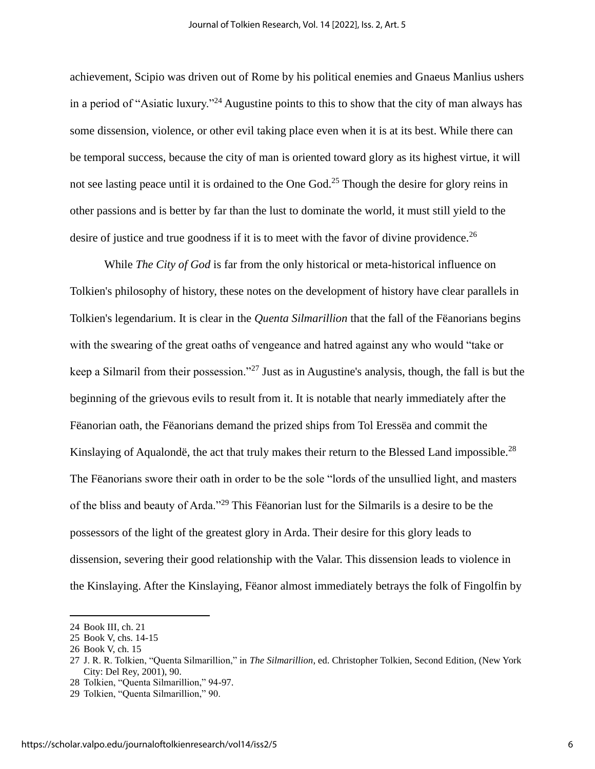achievement, Scipio was driven out of Rome by his political enemies and Gnaeus Manlius ushers in a period of "Asiatic luxury."<sup>24</sup> Augustine points to this to show that the city of man always has some dissension, violence, or other evil taking place even when it is at its best. While there can be temporal success, because the city of man is oriented toward glory as its highest virtue, it will not see lasting peace until it is ordained to the One God.<sup>25</sup> Though the desire for glory reins in other passions and is better by far than the lust to dominate the world, it must still yield to the desire of justice and true goodness if it is to meet with the favor of divine providence.<sup>26</sup>

While *The City of God* is far from the only historical or meta-historical influence on Tolkien's philosophy of history, these notes on the development of history have clear parallels in Tolkien's legendarium. It is clear in the *Quenta Silmarillion* that the fall of the Fëanorians begins with the swearing of the great oaths of vengeance and hatred against any who would "take or keep a Silmaril from their possession."<sup>27</sup> Just as in Augustine's analysis, though, the fall is but the beginning of the grievous evils to result from it. It is notable that nearly immediately after the Fëanorian oath, the Fëanorians demand the prized ships from Tol Eressëa and commit the Kinslaying of Aqualondë, the act that truly makes their return to the Blessed Land impossible.<sup>28</sup> The Fëanorians swore their oath in order to be the sole "lords of the unsullied light, and masters of the bliss and beauty of Arda."<sup>29</sup> This Fëanorian lust for the Silmarils is a desire to be the possessors of the light of the greatest glory in Arda. Their desire for this glory leads to dissension, severing their good relationship with the Valar. This dissension leads to violence in the Kinslaying. After the Kinslaying, Fëanor almost immediately betrays the folk of Fingolfin by

<sup>24</sup> Book III, ch. 21

<sup>25</sup> Book V, chs. 14-15

<sup>26</sup> Book V, ch. 15

<sup>27</sup> J. R. R. Tolkien, "Quenta Silmarillion," in *The Silmarillion*, ed. Christopher Tolkien, Second Edition, (New York City: Del Rey, 2001), 90.

<sup>28</sup> Tolkien, "Quenta Silmarillion," 94-97.

<sup>29</sup> Tolkien, "Quenta Silmarillion," 90.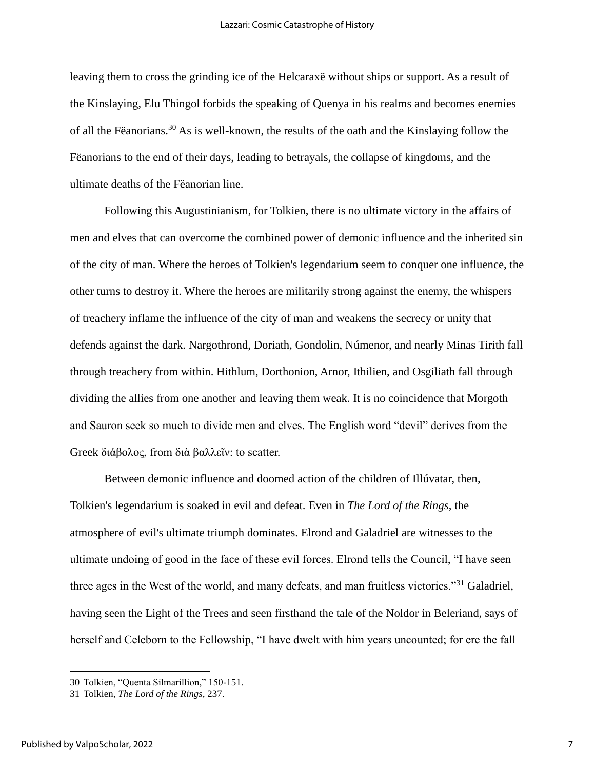leaving them to cross the grinding ice of the Helcaraxë without ships or support. As a result of the Kinslaying, Elu Thingol forbids the speaking of Quenya in his realms and becomes enemies of all the Fëanorians.<sup>30</sup> As is well-known, the results of the oath and the Kinslaying follow the Fëanorians to the end of their days, leading to betrayals, the collapse of kingdoms, and the ultimate deaths of the Fëanorian line.

Following this Augustinianism, for Tolkien, there is no ultimate victory in the affairs of men and elves that can overcome the combined power of demonic influence and the inherited sin of the city of man. Where the heroes of Tolkien's legendarium seem to conquer one influence, the other turns to destroy it. Where the heroes are militarily strong against the enemy, the whispers of treachery inflame the influence of the city of man and weakens the secrecy or unity that defends against the dark. Nargothrond, Doriath, Gondolin, Númenor, and nearly Minas Tirith fall through treachery from within. Hithlum, Dorthonion, Arnor, Ithilien, and Osgiliath fall through dividing the allies from one another and leaving them weak. It is no coincidence that Morgoth and Sauron seek so much to divide men and elves. The English word "devil" derives from the Greek διάβολος, from διὰ βαλλεῖν: to scatter.

Between demonic influence and doomed action of the children of Illúvatar, then, Tolkien's legendarium is soaked in evil and defeat. Even in *The Lord of the Rings*, the atmosphere of evil's ultimate triumph dominates. Elrond and Galadriel are witnesses to the ultimate undoing of good in the face of these evil forces. Elrond tells the Council, "I have seen three ages in the West of the world, and many defeats, and man fruitless victories."<sup>31</sup> Galadriel, having seen the Light of the Trees and seen firsthand the tale of the Noldor in Beleriand, says of herself and Celeborn to the Fellowship, "I have dwelt with him years uncounted; for ere the fall

<sup>30</sup> Tolkien, "Quenta Silmarillion," 150-151.

<sup>31</sup> Tolkien, *The Lord of the Rings*, 237.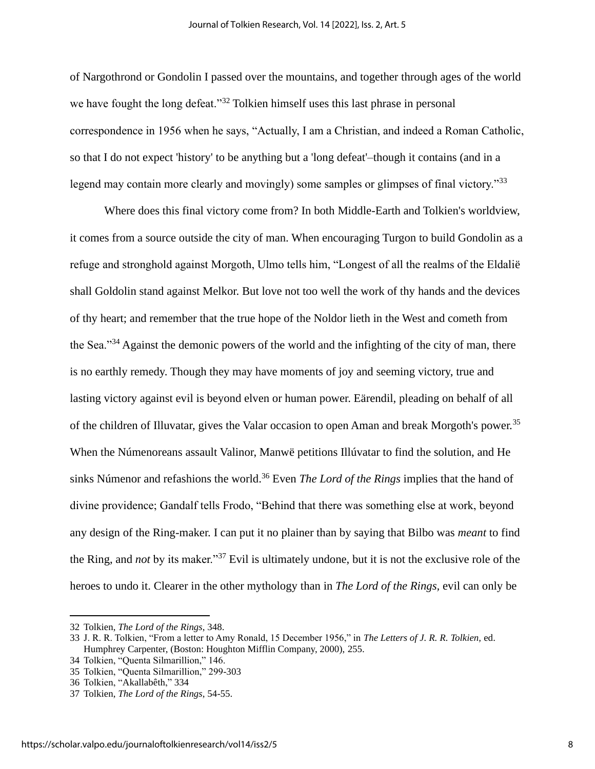of Nargothrond or Gondolin I passed over the mountains, and together through ages of the world we have fought the long defeat."<sup>32</sup> Tolkien himself uses this last phrase in personal correspondence in 1956 when he says, "Actually, I am a Christian, and indeed a Roman Catholic, so that I do not expect 'history' to be anything but a 'long defeat'–though it contains (and in a legend may contain more clearly and movingly) some samples or glimpses of final victory.<sup>33</sup>

Where does this final victory come from? In both Middle-Earth and Tolkien's worldview, it comes from a source outside the city of man. When encouraging Turgon to build Gondolin as a refuge and stronghold against Morgoth, Ulmo tells him, "Longest of all the realms of the Eldalië shall Goldolin stand against Melkor. But love not too well the work of thy hands and the devices of thy heart; and remember that the true hope of the Noldor lieth in the West and cometh from the Sea."<sup>34</sup> Against the demonic powers of the world and the infighting of the city of man, there is no earthly remedy. Though they may have moments of joy and seeming victory, true and lasting victory against evil is beyond elven or human power. Eärendil, pleading on behalf of all of the children of Illuvatar, gives the Valar occasion to open Aman and break Morgoth's power.<sup>35</sup> When the Númenoreans assault Valinor, Manwë petitions Illúvatar to find the solution, and He sinks Númenor and refashions the world.<sup>36</sup> Even *The Lord of the Rings* implies that the hand of divine providence; Gandalf tells Frodo, "Behind that there was something else at work, beyond any design of the Ring-maker. I can put it no plainer than by saying that Bilbo was *meant* to find the Ring, and *not* by its maker."<sup>37</sup> Evil is ultimately undone, but it is not the exclusive role of the heroes to undo it. Clearer in the other mythology than in *The Lord of the Rings,* evil can only be

<sup>32</sup> Tolkien, *The Lord of the Rings*, 348.

<sup>33</sup> J. R. R. Tolkien, "From a letter to Amy Ronald, 15 December 1956," in *The Letters of J. R. R. Tolkien,* ed. Humphrey Carpenter, (Boston: Houghton Mifflin Company, 2000), 255.

<sup>34</sup> Tolkien, "Quenta Silmarillion," 146.

<sup>35</sup> Tolkien, "Quenta Silmarillion," 299-303

<sup>36</sup> Tolkien, "Akallabêth," 334

<sup>37</sup> Tolkien, *The Lord of the Rings*, 54-55.